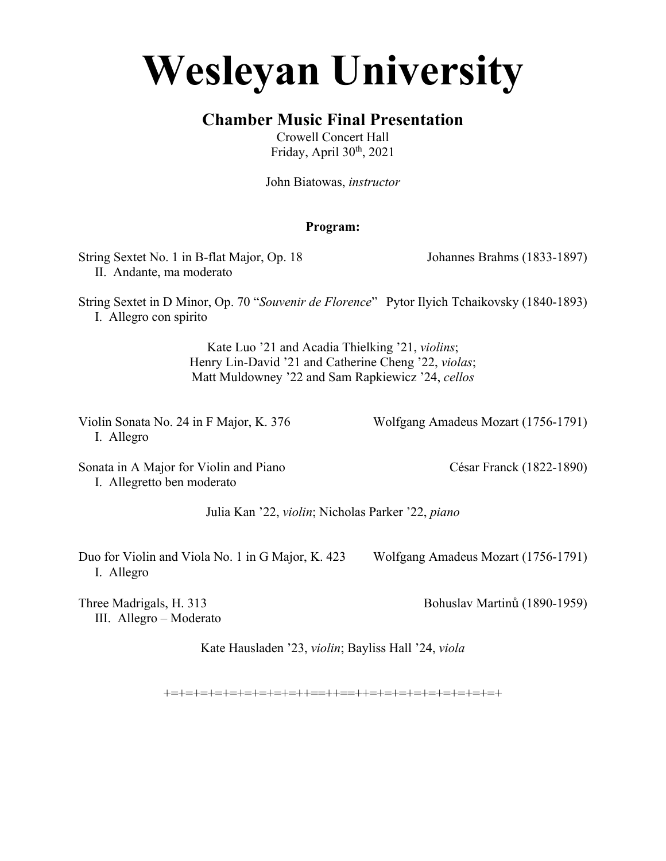# **Wesleyan University**

## **Chamber Music Final Presentation**

Crowell Concert Hall Friday, April 30th, 2021

John Biatowas, *instructor*

### **Program:**

String Sextet No. 1 in B-flat Major, Op. 18 Johannes Brahms (1833-1897) II. Andante, ma moderato

String Sextet in D Minor, Op. 70 "*Souvenir de Florence*" Pytor Ilyich Tchaikovsky (1840-1893) I. Allegro con spirito

> Kate Luo '21 and Acadia Thielking '21, *violins*; Henry Lin-David '21 and Catherine Cheng '22, *violas*; Matt Muldowney '22 and Sam Rapkiewicz '24, *cellos*

I. Allegro

Violin Sonata No. 24 in F Major, K. 376 Wolfgang Amadeus Mozart (1756-1791)

Sonata in A Major for Violin and Piano César Franck (1822-1890) I. Allegretto ben moderato

Julia Kan '22, *violin*; Nicholas Parker '22, *piano*

Duo for Violin and Viola No. 1 in G Major, K. 423 Wolfgang Amadeus Mozart (1756-1791) I. Allegro

Three Madrigals, H. 313 Bohuslav Martinů (1890-1959) III. Allegro – Moderato

Kate Hausladen '23, *violin*; Bayliss Hall '24, *viola*

+=+=+=+=+=+=+=+=+=++==++==++=+=+=+=+=+=+=+=+=+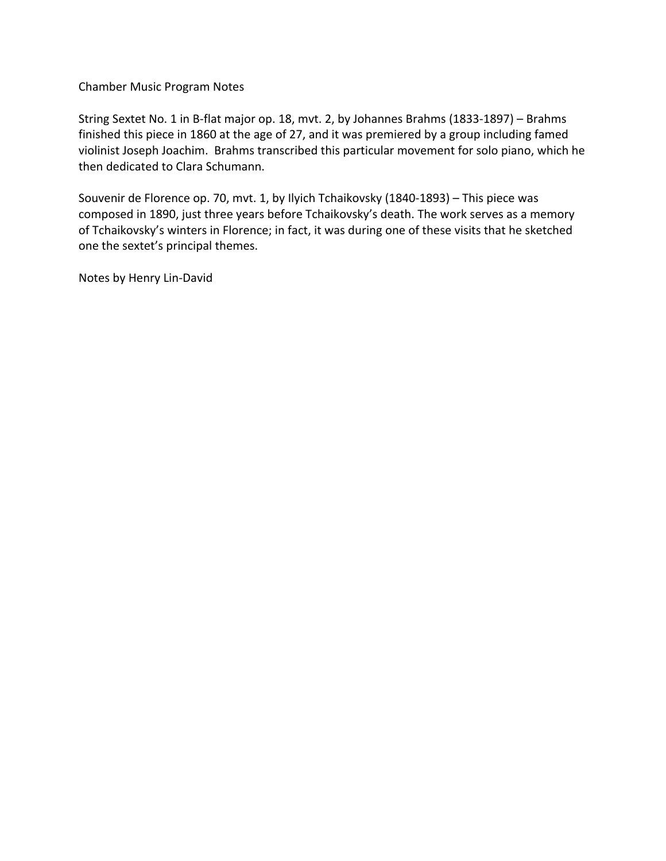Chamber Music Program Notes

String Sextet No. 1 in B-flat major op. 18, mvt. 2, by Johannes Brahms (1833-1897) – Brahms finished this piece in 1860 at the age of 27, and it was premiered by a group including famed violinist Joseph Joachim. Brahms transcribed this particular movement for solo piano, which he then dedicated to Clara Schumann.

Souvenir de Florence op. 70, mvt. 1, by Ilyich Tchaikovsky (1840-1893) – This piece was composed in 1890, just three years before Tchaikovsky's death. The work serves as a memory of Tchaikovsky's winters in Florence; in fact, it was during one of these visits that he sketched one the sextet's principal themes.

Notes by Henry Lin-David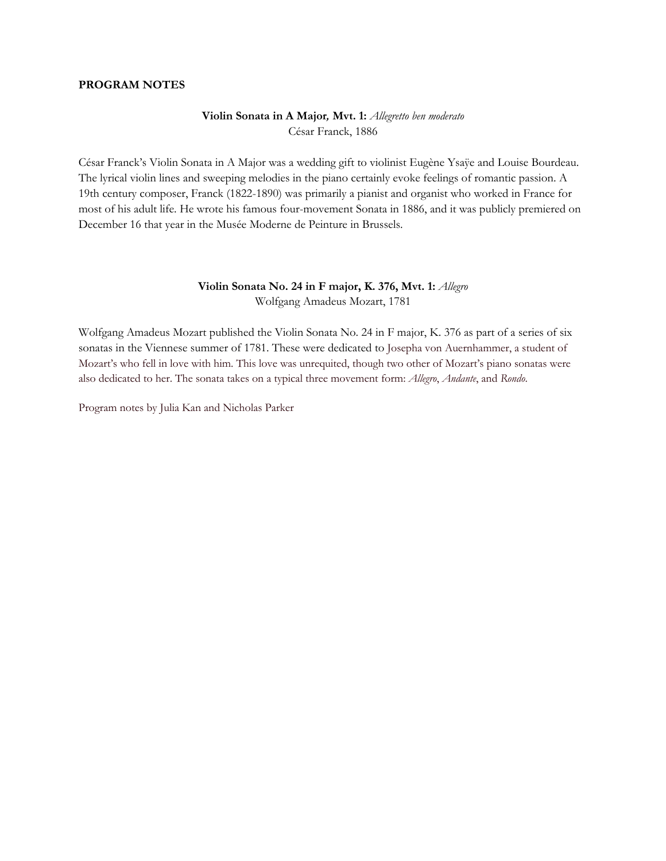#### **PROGRAM NOTES**

#### **Violin Sonata in A Major***,* **Mvt. 1:** *Allegretto ben moderato* César Franck, 1886

César Franck's Violin Sonata in A Major was a wedding gift to violinist Eugène Ysaÿe and Louise Bourdeau. The lyrical violin lines and sweeping melodies in the piano certainly evoke feelings of romantic passion. A 19th century composer, Franck (1822-1890) was primarily a pianist and organist who worked in France for most of his adult life. He wrote his famous four-movement Sonata in 1886, and it was publicly premiered on December 16 that year in the Musée Moderne de Peinture in Brussels.

#### **Violin Sonata No. 24 in F major, K. 376, Mvt. 1:** *Allegro* Wolfgang Amadeus Mozart, 1781

Wolfgang Amadeus Mozart published the Violin Sonata No. 24 in F major, K. 376 as part of a series of six sonatas in the Viennese summer of 1781. These were dedicated to Josepha von Auernhammer, a student of Mozart's who fell in love with him. This love was unrequited, though two other of Mozart's piano sonatas were also dedicated to her. The sonata takes on a typical three movement form: *Allegro*, *Andante*, and *Rondo*.

Program notes by Julia Kan and Nicholas Parker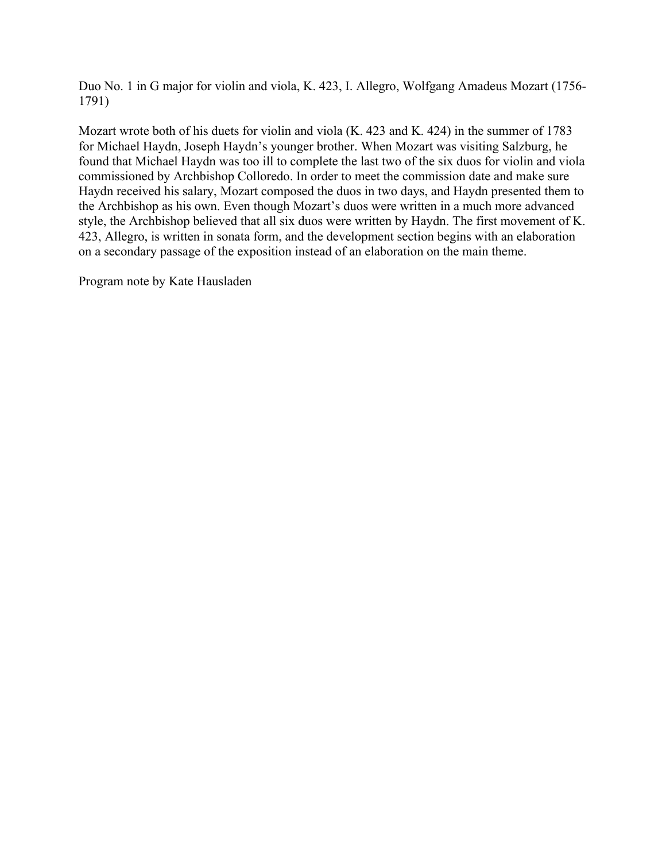Duo No. 1 in G major for violin and viola, K. 423, I. Allegro, Wolfgang Amadeus Mozart (1756- 1791)

Mozart wrote both of his duets for violin and viola (K. 423 and K. 424) in the summer of 1783 for Michael Haydn, Joseph Haydn's younger brother. When Mozart was visiting Salzburg, he found that Michael Haydn was too ill to complete the last two of the six duos for violin and viola commissioned by Archbishop Colloredo. In order to meet the commission date and make sure Haydn received his salary, Mozart composed the duos in two days, and Haydn presented them to the Archbishop as his own. Even though Mozart's duos were written in a much more advanced style, the Archbishop believed that all six duos were written by Haydn. The first movement of K. 423, Allegro, is written in sonata form, and the development section begins with an elaboration on a secondary passage of the exposition instead of an elaboration on the main theme.

Program note by Kate Hausladen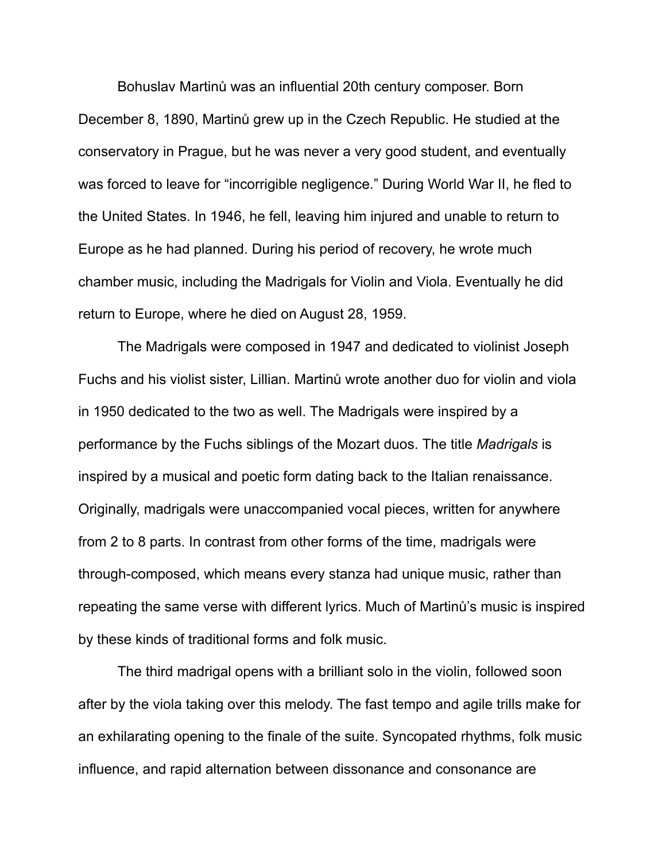Bohuslav Martinů was an influential 20th century composer. Born December 8, 1890, Martinů grew up in the Czech Republic. He studied at the conservatory in Prague, but he was never a very good student, and eventually was forced to leave for "incorrigible negligence." During World War II, he fled to the United States. In 1946, he fell, leaving him injured and unable to return to Europe as he had planned. During his period of recovery, he wrote much chamber music, including the Madrigals for Violin and Viola. Eventually he did return to Europe, where he died on August 28, 1959.

The Madrigals were composed in 1947 and dedicated to violinist Joseph Fuchs and his violist sister, Lillian. Martinů wrote another duo for violin and viola in 1950 dedicated to the two as well. The Madrigals were inspired by a performance by the Fuchs siblings of the Mozart duos. The title *Madrigals* is inspired by a musical and poetic form dating back to the Italian renaissance. Originally, madrigals were unaccompanied vocal pieces, written for anywhere from 2 to 8 parts. In contrast from other forms of the time, madrigals were through-composed, which means every stanza had unique music, rather than repeating the same verse with different lyrics. Much of Martinů's music is inspired by these kinds of traditional forms and folk music.

The third madrigal opens with a brilliant solo in the violin, followed soon after by the viola taking over this melody. The fast tempo and agile trills make for an exhilarating opening to the finale of the suite. Syncopated rhythms, folk music influence, and rapid alternation between dissonance and consonance are